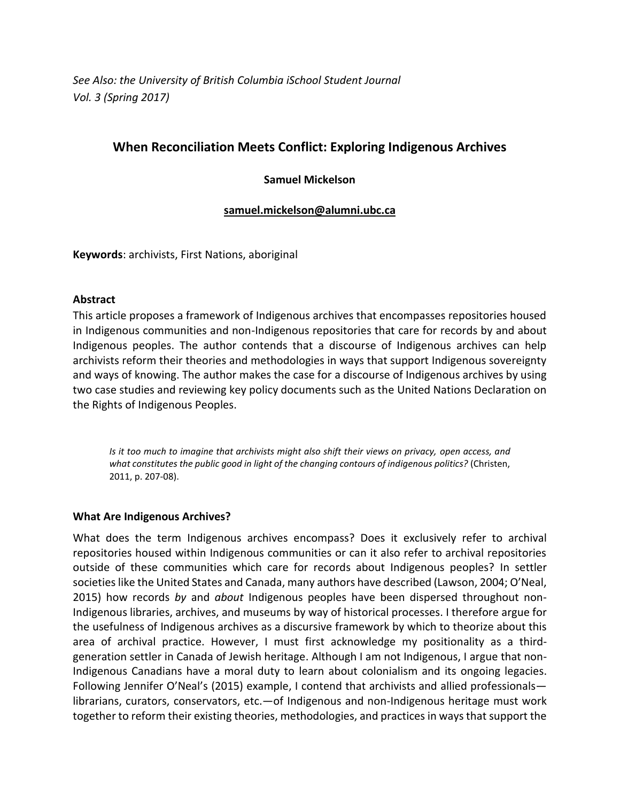*See Also: the University of British Columbia iSchool Student Journal Vol. 3 (Spring 2017)*

# **When Reconciliation Meets Conflict: Exploring Indigenous Archives**

### **Samuel Mickelson**

#### **[samuel.mickelson@alumni.ubc.ca](mailto:samuel.mickelson@alumni.ubc.ca)**

**Keywords**: archivists, First Nations, aboriginal

#### **Abstract**

This article proposes a framework of Indigenous archives that encompasses repositories housed in Indigenous communities and non-Indigenous repositories that care for records by and about Indigenous peoples. The author contends that a discourse of Indigenous archives can help archivists reform their theories and methodologies in ways that support Indigenous sovereignty and ways of knowing. The author makes the case for a discourse of Indigenous archives by using two case studies and reviewing key policy documents such as the United Nations Declaration on the Rights of Indigenous Peoples.

*Is it too much to imagine that archivists might also shift their views on privacy, open access, and what constitutes the public good in light of the changing contours of indigenous politics?* (Christen, 2011, p. 207-08).

#### **What Are Indigenous Archives?**

What does the term Indigenous archives encompass? Does it exclusively refer to archival repositories housed within Indigenous communities or can it also refer to archival repositories outside of these communities which care for records about Indigenous peoples? In settler societies like the United States and Canada, many authors have described (Lawson, 2004; O'Neal, 2015) how records *by* and *about* Indigenous peoples have been dispersed throughout non-Indigenous libraries, archives, and museums by way of historical processes. I therefore argue for the usefulness of Indigenous archives as a discursive framework by which to theorize about this area of archival practice. However, I must first acknowledge my positionality as a thirdgeneration settler in Canada of Jewish heritage. Although I am not Indigenous, I argue that non-Indigenous Canadians have a moral duty to learn about colonialism and its ongoing legacies. Following Jennifer O'Neal's (2015) example, I contend that archivists and allied professionals librarians, curators, conservators, etc.—of Indigenous and non-Indigenous heritage must work together to reform their existing theories, methodologies, and practices in ways that support the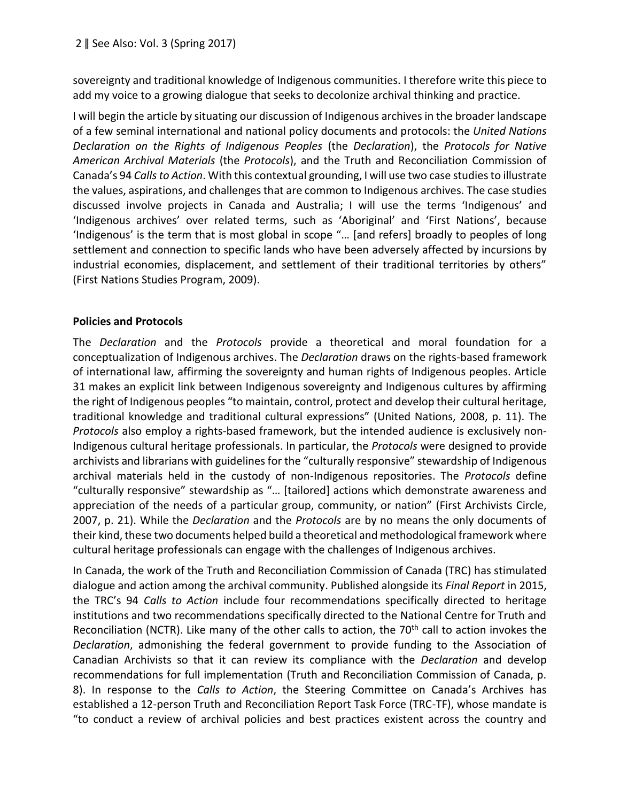sovereignty and traditional knowledge of Indigenous communities. I therefore write this piece to add my voice to a growing dialogue that seeks to decolonize archival thinking and practice.

I will begin the article by situating our discussion of Indigenous archives in the broader landscape of a few seminal international and national policy documents and protocols: the *United Nations Declaration on the Rights of Indigenous Peoples* (the *Declaration*), the *Protocols for Native American Archival Materials* (the *Protocols*), and the Truth and Reconciliation Commission of Canada's 94 *Calls to Action*. With this contextual grounding, I will use two case studiesto illustrate the values, aspirations, and challenges that are common to Indigenous archives. The case studies discussed involve projects in Canada and Australia; I will use the terms 'Indigenous' and 'Indigenous archives' over related terms, such as 'Aboriginal' and 'First Nations', because 'Indigenous' is the term that is most global in scope "… [and refers] broadly to peoples of long settlement and connection to specific lands who have been adversely affected by incursions by industrial economies, displacement, and settlement of their traditional territories by others" (First Nations Studies Program, 2009).

## **Policies and Protocols**

The *Declaration* and the *Protocols* provide a theoretical and moral foundation for a conceptualization of Indigenous archives. The *Declaration* draws on the rights-based framework of international law, affirming the sovereignty and human rights of Indigenous peoples. Article 31 makes an explicit link between Indigenous sovereignty and Indigenous cultures by affirming the right of Indigenous peoples "to maintain, control, protect and develop their cultural heritage, traditional knowledge and traditional cultural expressions" (United Nations, 2008, p. 11). The *Protocols* also employ a rights-based framework, but the intended audience is exclusively non-Indigenous cultural heritage professionals. In particular, the *Protocols* were designed to provide archivists and librarians with guidelines for the "culturally responsive" stewardship of Indigenous archival materials held in the custody of non-Indigenous repositories. The *Protocols* define "culturally responsive" stewardship as "… [tailored] actions which demonstrate awareness and appreciation of the needs of a particular group, community, or nation" (First Archivists Circle, 2007, p. 21). While the *Declaration* and the *Protocols* are by no means the only documents of their kind, these two documents helped build a theoretical and methodological framework where cultural heritage professionals can engage with the challenges of Indigenous archives.

In Canada, the work of the Truth and Reconciliation Commission of Canada (TRC) has stimulated dialogue and action among the archival community. Published alongside its *Final Report* in 2015, the TRC's 94 *Calls to Action* include four recommendations specifically directed to heritage institutions and two recommendations specifically directed to the National Centre for Truth and Reconciliation (NCTR). Like many of the other calls to action, the 70<sup>th</sup> call to action invokes the *Declaration*, admonishing the federal government to provide funding to the Association of Canadian Archivists so that it can review its compliance with the *Declaration* and develop recommendations for full implementation (Truth and Reconciliation Commission of Canada, p. 8). In response to the *Calls to Action*, the Steering Committee on Canada's Archives has established a 12-person Truth and Reconciliation Report Task Force (TRC-TF), whose mandate is "to conduct a review of archival policies and best practices existent across the country and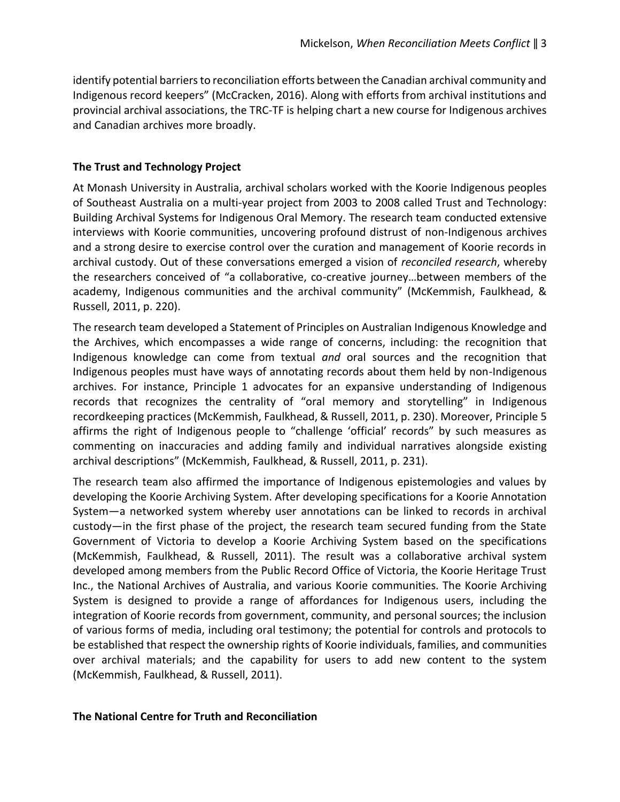identify potential barriers to reconciliation efforts between the Canadian archival community and Indigenous record keepers" (McCracken, 2016). Along with efforts from archival institutions and provincial archival associations, the TRC-TF is helping chart a new course for Indigenous archives and Canadian archives more broadly.

### **The Trust and Technology Project**

At Monash University in Australia, archival scholars worked with the Koorie Indigenous peoples of Southeast Australia on a multi-year project from 2003 to 2008 called Trust and Technology: Building Archival Systems for Indigenous Oral Memory. The research team conducted extensive interviews with Koorie communities, uncovering profound distrust of non-Indigenous archives and a strong desire to exercise control over the curation and management of Koorie records in archival custody. Out of these conversations emerged a vision of *reconciled research*, whereby the researchers conceived of "a collaborative, co-creative journey…between members of the academy, Indigenous communities and the archival community" (McKemmish, Faulkhead, & Russell, 2011, p. 220).

The research team developed a Statement of Principles on Australian Indigenous Knowledge and the Archives, which encompasses a wide range of concerns, including: the recognition that Indigenous knowledge can come from textual *and* oral sources and the recognition that Indigenous peoples must have ways of annotating records about them held by non-Indigenous archives. For instance, Principle 1 advocates for an expansive understanding of Indigenous records that recognizes the centrality of "oral memory and storytelling" in Indigenous recordkeeping practices (McKemmish, Faulkhead, & Russell, 2011, p. 230). Moreover, Principle 5 affirms the right of Indigenous people to "challenge 'official' records" by such measures as commenting on inaccuracies and adding family and individual narratives alongside existing archival descriptions" (McKemmish, Faulkhead, & Russell, 2011, p. 231).

The research team also affirmed the importance of Indigenous epistemologies and values by developing the Koorie Archiving System. After developing specifications for a Koorie Annotation System—a networked system whereby user annotations can be linked to records in archival custody—in the first phase of the project, the research team secured funding from the State Government of Victoria to develop a Koorie Archiving System based on the specifications (McKemmish, Faulkhead, & Russell, 2011). The result was a collaborative archival system developed among members from the Public Record Office of Victoria, the Koorie Heritage Trust Inc., the National Archives of Australia, and various Koorie communities. The Koorie Archiving System is designed to provide a range of affordances for Indigenous users, including the integration of Koorie records from government, community, and personal sources; the inclusion of various forms of media, including oral testimony; the potential for controls and protocols to be established that respect the ownership rights of Koorie individuals, families, and communities over archival materials; and the capability for users to add new content to the system (McKemmish, Faulkhead, & Russell, 2011).

#### **The National Centre for Truth and Reconciliation**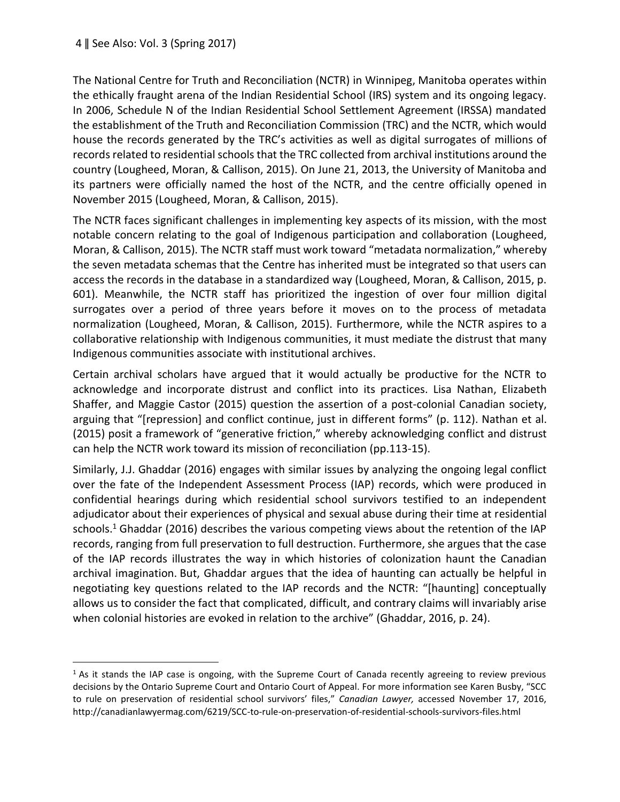$\overline{a}$ 

The National Centre for Truth and Reconciliation (NCTR) in Winnipeg, Manitoba operates within the ethically fraught arena of the Indian Residential School (IRS) system and its ongoing legacy. In 2006, Schedule N of the Indian Residential School Settlement Agreement (IRSSA) mandated the establishment of the Truth and Reconciliation Commission (TRC) and the NCTR, which would house the records generated by the TRC's activities as well as digital surrogates of millions of records related to residential schools that the TRC collected from archival institutions around the country (Lougheed, Moran, & Callison, 2015). On June 21, 2013, the University of Manitoba and its partners were officially named the host of the NCTR, and the centre officially opened in November 2015 (Lougheed, Moran, & Callison, 2015).

The NCTR faces significant challenges in implementing key aspects of its mission, with the most notable concern relating to the goal of Indigenous participation and collaboration (Lougheed, Moran, & Callison, 2015). The NCTR staff must work toward "metadata normalization," whereby the seven metadata schemas that the Centre has inherited must be integrated so that users can access the records in the database in a standardized way (Lougheed, Moran, & Callison, 2015, p. 601). Meanwhile, the NCTR staff has prioritized the ingestion of over four million digital surrogates over a period of three years before it moves on to the process of metadata normalization (Lougheed, Moran, & Callison, 2015). Furthermore, while the NCTR aspires to a collaborative relationship with Indigenous communities, it must mediate the distrust that many Indigenous communities associate with institutional archives.

Certain archival scholars have argued that it would actually be productive for the NCTR to acknowledge and incorporate distrust and conflict into its practices. Lisa Nathan, Elizabeth Shaffer, and Maggie Castor (2015) question the assertion of a post-colonial Canadian society, arguing that "[repression] and conflict continue, just in different forms" (p. 112). Nathan et al. (2015) posit a framework of "generative friction," whereby acknowledging conflict and distrust can help the NCTR work toward its mission of reconciliation (pp.113-15).

Similarly, J.J. Ghaddar (2016) engages with similar issues by analyzing the ongoing legal conflict over the fate of the Independent Assessment Process (IAP) records, which were produced in confidential hearings during which residential school survivors testified to an independent adjudicator about their experiences of physical and sexual abuse during their time at residential schools.<sup>1</sup> Ghaddar (2016) describes the various competing views about the retention of the IAP records, ranging from full preservation to full destruction. Furthermore, she argues that the case of the IAP records illustrates the way in which histories of colonization haunt the Canadian archival imagination. But, Ghaddar argues that the idea of haunting can actually be helpful in negotiating key questions related to the IAP records and the NCTR: "[haunting] conceptually allows us to consider the fact that complicated, difficult, and contrary claims will invariably arise when colonial histories are evoked in relation to the archive" (Ghaddar, 2016, p. 24).

 $1$  As it stands the IAP case is ongoing, with the Supreme Court of Canada recently agreeing to review previous decisions by the Ontario Supreme Court and Ontario Court of Appeal. For more information see Karen Busby, "SCC to rule on preservation of residential school survivors' files," *Canadian Lawyer,* accessed November 17, 2016, http://canadianlawyermag.com/6219/SCC-to-rule-on-preservation-of-residential-schools-survivors-files.html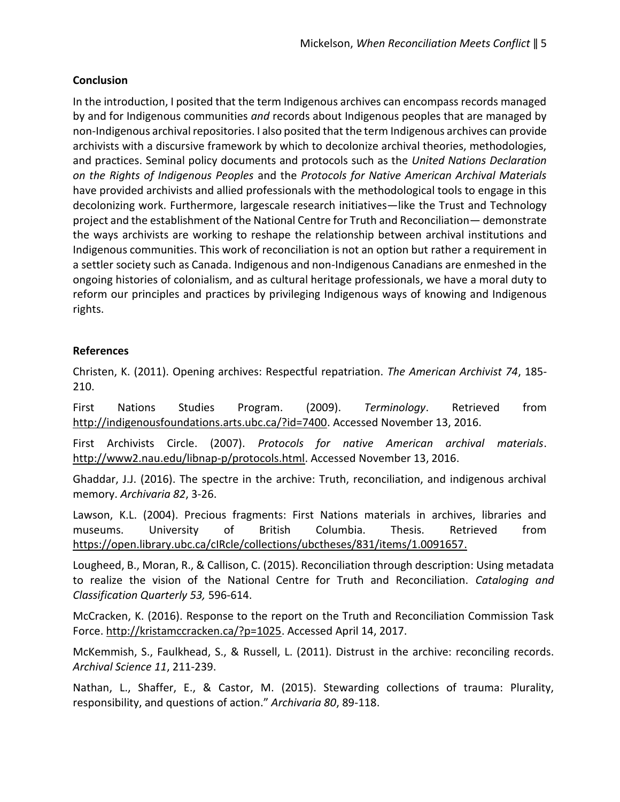### **Conclusion**

In the introduction, I posited that the term Indigenous archives can encompass records managed by and for Indigenous communities *and* records about Indigenous peoples that are managed by non-Indigenous archival repositories. I also posited that the term Indigenous archives can provide archivists with a discursive framework by which to decolonize archival theories, methodologies, and practices. Seminal policy documents and protocols such as the *United Nations Declaration on the Rights of Indigenous Peoples* and the *Protocols for Native American Archival Materials*  have provided archivists and allied professionals with the methodological tools to engage in this decolonizing work. Furthermore, largescale research initiatives—like the Trust and Technology project and the establishment of the National Centre for Truth and Reconciliation— demonstrate the ways archivists are working to reshape the relationship between archival institutions and Indigenous communities. This work of reconciliation is not an option but rather a requirement in a settler society such as Canada. Indigenous and non-Indigenous Canadians are enmeshed in the ongoing histories of colonialism, and as cultural heritage professionals, we have a moral duty to reform our principles and practices by privileging Indigenous ways of knowing and Indigenous rights.

### **References**

Christen, K. (2011). Opening archives: Respectful repatriation. *The American Archivist 74*, 185- 210.

First Nations Studies Program. (2009). *Terminology*. Retrieved from [http://indigenousfoundations.arts.ubc.ca/?id=7400.](http://indigenousfoundations.arts.ubc.ca/?id=7400) Accessed November 13, 2016.

First Archivists Circle. (2007). *Protocols for native American archival materials*. [http://www2.nau.edu/libnap-p/protocols.html.](http://www2.nau.edu/libnap-p/protocols.html) Accessed November 13, 2016.

Ghaddar, J.J. (2016). The spectre in the archive: Truth, reconciliation, and indigenous archival memory. *Archivaria 82*, 3-26.

Lawson, K.L. (2004). Precious fragments: First Nations materials in archives, libraries and museums. University of British Columbia. Thesis. Retrieved from [https://open.library.ubc.ca/cIRcle/collections/ubctheses/831/items/1.0091657.](https://open.library.ubc.ca/cIRcle/collections/ubctheses/831/items/1.0091657)

Lougheed, B., Moran, R., & Callison, C. (2015). Reconciliation through description: Using metadata to realize the vision of the National Centre for Truth and Reconciliation. *Cataloging and Classification Quarterly 53,* 596-614.

McCracken, K. (2016). Response to the report on the Truth and Reconciliation Commission Task Force. [http://kristamccracken.ca/?p=1025.](http://kristamccracken.ca/?p=1025) Accessed April 14, 2017.

McKemmish, S., Faulkhead, S., & Russell, L. (2011). Distrust in the archive: reconciling records. *Archival Science 11*, 211-239.

Nathan, L., Shaffer, E., & Castor, M. (2015). Stewarding collections of trauma: Plurality, responsibility, and questions of action." *Archivaria 80*, 89-118.